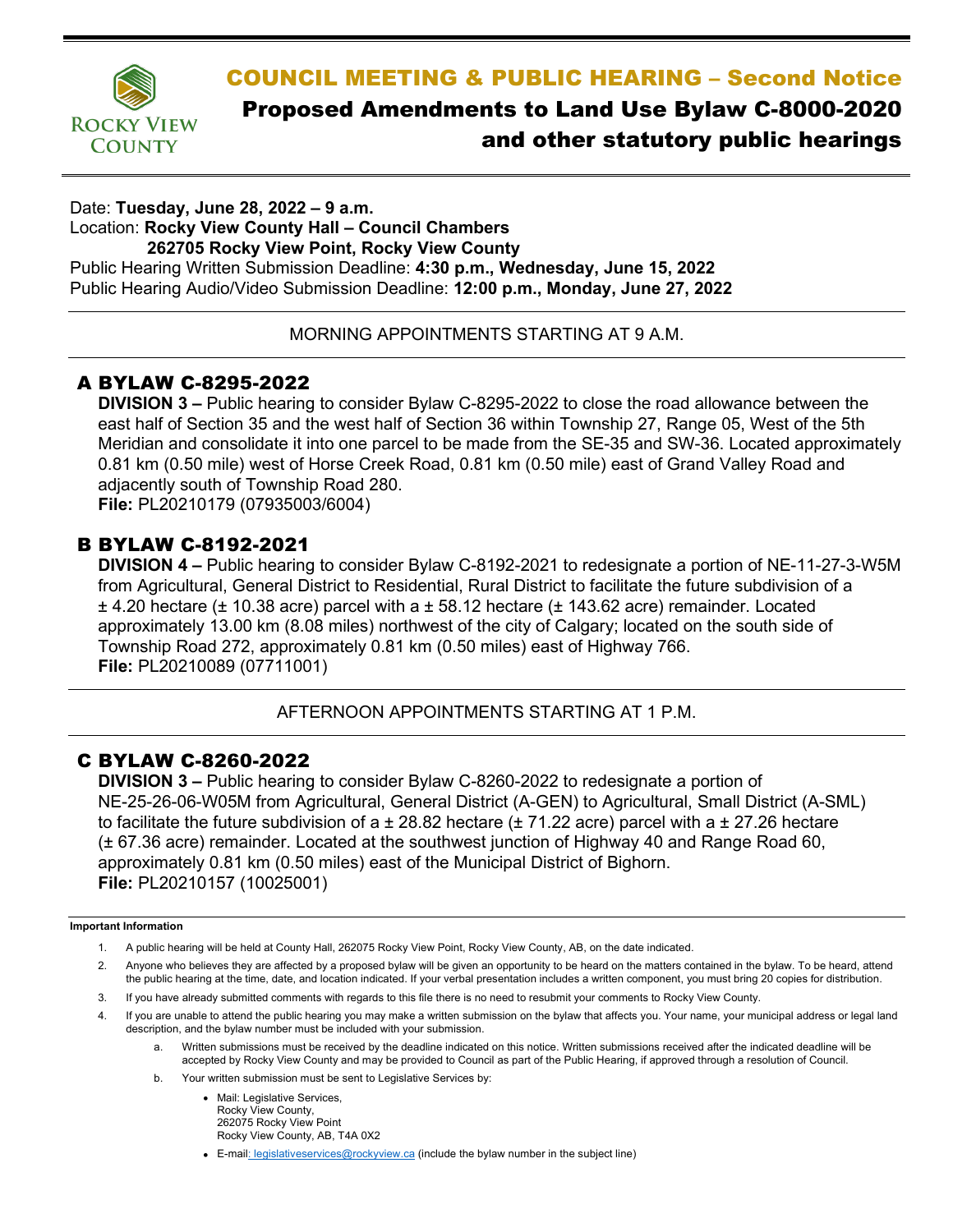

# COUNCIL MEETING & PUBLIC HEARING – Second Notice Proposed Amendments to Land Use Bylaw C-8000-2020 and other statutory public hearings

Date: **Tuesday, June 28, 2022 – 9 a.m.** Location: **Rocky View County Hall – Council Chambers 262705 Rocky View Point, Rocky View County** Public Hearing Written Submission Deadline: **4:30 p.m., Wednesday, June 15, 2022** Public Hearing Audio/Video Submission Deadline: **12:00 p.m., Monday, June 27, 2022**

MORNING APPOINTMENTS STARTING AT 9 A.M.

## A BYLAW C-8295-2022

**DIVISION 3 –** Public hearing to consider Bylaw C-8295-2022 to close the road allowance between the east half of Section 35 and the west half of Section 36 within Township 27, Range 05, West of the 5th Meridian and consolidate it into one parcel to be made from the SE-35 and SW-36. Located approximately 0.81 km (0.50 mile) west of Horse Creek Road, 0.81 km (0.50 mile) east of Grand Valley Road and adjacently south of Township Road 280. **File:** PL20210179 (07935003/6004)

### B BYLAW C-8192-2021

**DIVISION 4 –** Public hearing to consider Bylaw C-8192-2021 to redesignate a portion of NE-11-27-3-W5M from Agricultural, General District to Residential, Rural District to facilitate the future subdivision of a  $\pm$  4.20 hectare ( $\pm$  10.38 acre) parcel with a  $\pm$  58.12 hectare ( $\pm$  143.62 acre) remainder. Located approximately 13.00 km (8.08 miles) northwest of the city of Calgary; located on the south side of Township Road 272, approximately 0.81 km (0.50 miles) east of Highway 766. **File:** PL20210089 (07711001)

AFTERNOON APPOINTMENTS STARTING AT 1 P.M.

### C BYLAW C-8260-2022

**DIVISION 3 –** Public hearing to consider Bylaw C-8260-2022 to redesignate a portion of NE-25-26-06-W05M from Agricultural, General District (A-GEN) to Agricultural, Small District (A-SML) to facilitate the future subdivision of a  $\pm$  28.82 hectare ( $\pm$  71.22 acre) parcel with a  $\pm$  27.26 hectare (± 67.36 acre) remainder. Located at the southwest junction of Highway 40 and Range Road 60, approximately 0.81 km (0.50 miles) east of the Municipal District of Bighorn. **File:** PL20210157 (10025001)

#### **Important Information**

- 1. A public hearing will be held at County Hall, 262075 Rocky View Point, Rocky View County, AB, on the date indicated.
- 2. Anyone who believes they are affected by a proposed bylaw will be given an opportunity to be heard on the matters contained in the bylaw. To be heard, attend the public hearing at the time, date, and location indicated. If your verbal presentation includes a written component, you must bring 20 copies for distribution.
- 3. If you have already submitted comments with regards to this file there is no need to resubmit your comments to Rocky View County.
- 4. If you are unable to attend the public hearing you may make a written submission on the bylaw that affects you. Your name, your municipal address or legal land description, and the bylaw number must be included with your submission.
	- a. Written submissions must be received by the deadline indicated on this notice. Written submissions received after the indicated deadline will be accepted by Rocky View County and may be provided to Council as part of the Public Hearing, if approved through a resolution of Council.
	- b. Your written submission must be sent to Legislative Services by:
		- Mail: Legislative Services. Rocky View County, 262075 Rocky View Point Rocky View County, AB, T4A 0X2
		- E-ma[il: legislativeservices@rockyview.ca](mailto:legislativeservices@rockyview.ca) (include the bylaw number in the subject line)